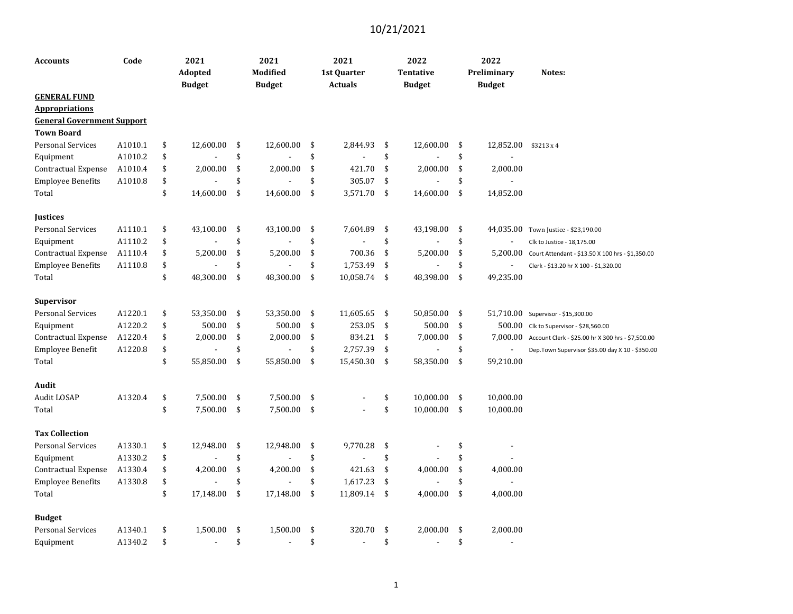| <b>Accounts</b>                   | Code    | 2021<br>Adopted<br><b>Budget</b> | 2021<br>Modified<br><b>Budget</b> | 2021<br>1st Quarter<br><b>Actuals</b> | 2022<br>Tentative<br><b>Budget</b> | 2022<br>Preliminary<br><b>Budget</b> | Notes:                                            |
|-----------------------------------|---------|----------------------------------|-----------------------------------|---------------------------------------|------------------------------------|--------------------------------------|---------------------------------------------------|
| <b>GENERAL FUND</b>               |         |                                  |                                   |                                       |                                    |                                      |                                                   |
| <b>Appropriations</b>             |         |                                  |                                   |                                       |                                    |                                      |                                                   |
| <b>General Government Support</b> |         |                                  |                                   |                                       |                                    |                                      |                                                   |
| <b>Town Board</b>                 |         |                                  |                                   |                                       |                                    |                                      |                                                   |
| <b>Personal Services</b>          | A1010.1 | \$<br>12,600.00                  | \$<br>12,600.00                   | \$<br>2,844.93                        | \$<br>12,600.00                    | \$<br>12,852.00                      | \$3213 x 4                                        |
| Equipment                         | A1010.2 | \$                               | \$                                | \$                                    | \$                                 | \$                                   |                                                   |
| Contractual Expense               | A1010.4 | \$<br>2,000.00                   | \$<br>2,000.00                    | \$<br>421.70                          | \$<br>2,000.00                     | \$<br>2,000.00                       |                                                   |
| <b>Employee Benefits</b>          | A1010.8 | \$                               | \$                                | \$<br>305.07                          | \$                                 | \$                                   |                                                   |
| Total                             |         | \$<br>14,600.00                  | \$<br>14,600.00                   | \$<br>3,571.70                        | \$<br>14,600.00                    | \$<br>14,852.00                      |                                                   |
| <b>Justices</b>                   |         |                                  |                                   |                                       |                                    |                                      |                                                   |
| <b>Personal Services</b>          | A1110.1 | \$<br>43,100.00                  | \$<br>43,100.00                   | \$<br>7,604.89                        | \$<br>43,198.00                    | \$<br>44,035.00                      | Town Justice - \$23,190.00                        |
| Equipment                         | A1110.2 | \$                               | \$                                | \$                                    | \$                                 | \$                                   | Clk to Justice - 18,175.00                        |
| Contractual Expense               | A1110.4 | \$<br>5,200.00                   | \$<br>5,200.00                    | \$<br>700.36                          | \$<br>5,200.00                     | \$<br>5,200.00                       | Court Attendant - \$13.50 X 100 hrs - \$1,350.00  |
| <b>Employee Benefits</b>          | A1110.8 | \$                               | \$                                | \$<br>1,753.49                        | \$                                 | \$<br>$\overline{a}$                 | Clerk - \$13.20 hr X 100 - \$1,320.00             |
| Total                             |         | \$<br>48,300.00                  | \$<br>48,300.00                   | \$<br>10,058.74                       | \$<br>48,398.00                    | \$<br>49,235.00                      |                                                   |
| <b>Supervisor</b>                 |         |                                  |                                   |                                       |                                    |                                      |                                                   |
| <b>Personal Services</b>          | A1220.1 | \$<br>53,350.00                  | \$<br>53,350.00                   | \$<br>11,605.65                       | \$<br>50,850.00                    | \$                                   | 51,710.00 Supervisor - \$15,300.00                |
| Equipment                         | A1220.2 | \$<br>500.00                     | \$<br>500.00                      | \$<br>253.05                          | \$<br>500.00                       | \$<br>500.00                         | Clk to Supervisor - \$28,560.00                   |
| Contractual Expense               | A1220.4 | \$<br>2,000.00                   | \$<br>2,000.00                    | \$<br>834.21                          | \$<br>7,000.00                     | \$<br>7,000.00                       | Account Clerk - \$25.00 hr X 300 hrs - \$7,500.00 |
| Employee Benefit                  | A1220.8 | \$                               | \$                                | \$<br>2,757.39                        | \$                                 | \$                                   | Dep. Town Supervisor \$35.00 day X 10 - \$350.00  |
| Total                             |         | \$<br>55,850.00                  | \$<br>55,850.00                   | \$<br>15,450.30                       | \$<br>58,350.00                    | \$<br>59,210.00                      |                                                   |
| Audit                             |         |                                  |                                   |                                       |                                    |                                      |                                                   |
| Audit LOSAP                       | A1320.4 | \$<br>7,500.00                   | \$<br>7,500.00                    | \$                                    | \$<br>10,000.00                    | \$<br>10,000.00                      |                                                   |
| Total                             |         | \$<br>7,500.00                   | \$<br>7,500.00                    | \$                                    | \$<br>10,000.00                    | \$<br>10,000.00                      |                                                   |
| <b>Tax Collection</b>             |         |                                  |                                   |                                       |                                    |                                      |                                                   |
| <b>Personal Services</b>          | A1330.1 | \$<br>12,948.00                  | \$<br>12,948.00                   | \$<br>9,770.28                        | \$                                 | \$<br>$\overline{a}$                 |                                                   |
| Equipment                         | A1330.2 | \$                               | \$                                | \$                                    | \$                                 | \$                                   |                                                   |
| Contractual Expense               | A1330.4 | \$<br>4,200.00                   | \$<br>4,200.00                    | \$<br>421.63                          | \$<br>4,000.00                     | \$<br>4,000.00                       |                                                   |
| <b>Employee Benefits</b>          | A1330.8 | \$                               | \$                                | \$<br>1,617.23                        | \$                                 | \$                                   |                                                   |
| Total                             |         | \$<br>17,148.00                  | \$<br>17,148.00                   | \$<br>11,809.14                       | \$<br>4,000.00                     | \$<br>4,000.00                       |                                                   |
| <b>Budget</b>                     |         |                                  |                                   |                                       |                                    |                                      |                                                   |
| <b>Personal Services</b>          | A1340.1 | \$<br>1,500.00                   | \$<br>1,500.00                    | \$<br>320.70                          | \$<br>2,000.00                     | \$<br>2,000.00                       |                                                   |
| Equipment                         | A1340.2 | \$                               | \$<br>$\overline{a}$              | \$                                    | \$                                 | \$<br>$\sim$                         |                                                   |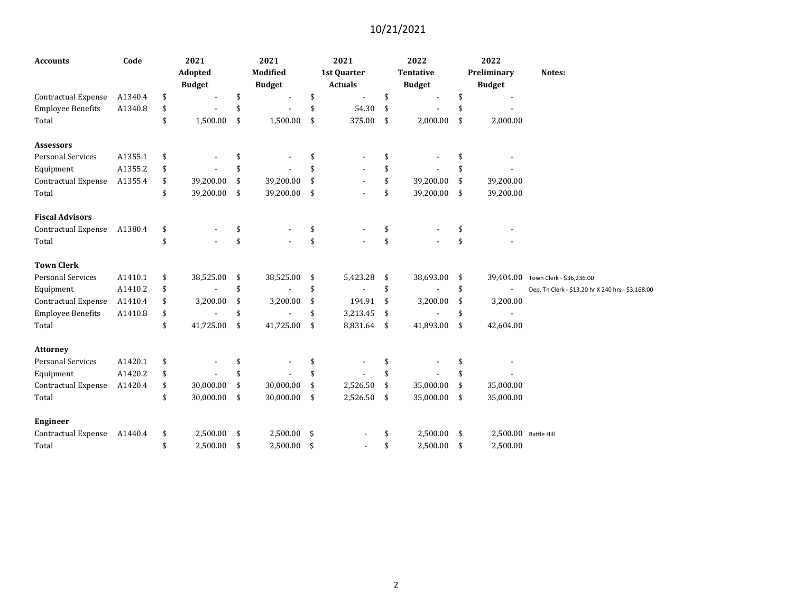| <b>Accounts</b>            | Code    | 2021<br>Adopted<br><b>Budget</b> | 2021<br>Modified<br><b>Budget</b> |     | 2021<br>1st Quarter<br><b>Actuals</b> |      | 2022<br><b>Tentative</b><br><b>Budget</b> | 2022<br>Preliminary<br><b>Budget</b> | Notes:                                            |
|----------------------------|---------|----------------------------------|-----------------------------------|-----|---------------------------------------|------|-------------------------------------------|--------------------------------------|---------------------------------------------------|
| Contractual Expense        | A1340.4 | \$                               | \$                                | \$  | $\blacksquare$                        | \$   |                                           | \$                                   |                                                   |
| <b>Employee Benefits</b>   | A1340.8 | \$                               | \$                                | \$  | 54.30                                 | \$   |                                           | \$                                   |                                                   |
| Total                      |         | \$<br>1,500.00                   | \$<br>1,500.00                    | \$  | 375.00                                | \$   | 2,000.00                                  | \$<br>2,000.00                       |                                                   |
| <b>Assessors</b>           |         |                                  |                                   |     |                                       |      |                                           |                                      |                                                   |
| <b>Personal Services</b>   | A1355.1 | \$                               |                                   | \$  |                                       | \$   |                                           | \$                                   |                                                   |
| Equipment                  | A1355.2 | \$                               |                                   | \$  |                                       | \$   |                                           | \$                                   |                                                   |
| Contractual Expense        | A1355.4 | \$<br>39,200.00                  | \$<br>39,200.00                   | \$  |                                       | \$   | 39,200.00                                 | \$<br>39,200.00                      |                                                   |
| Total                      |         | \$<br>39,200.00                  | \$<br>39,200.00                   | \$  |                                       | \$   | 39,200.00                                 | \$<br>39,200.00                      |                                                   |
| <b>Fiscal Advisors</b>     |         |                                  |                                   |     |                                       |      |                                           |                                      |                                                   |
| Contractual Expense        | A1380.4 | \$                               | \$                                | \$  |                                       | \$   |                                           | \$                                   |                                                   |
| Total                      |         | \$                               | \$                                | \$  |                                       | \$   |                                           | \$                                   |                                                   |
| <b>Town Clerk</b>          |         |                                  |                                   |     |                                       |      |                                           |                                      |                                                   |
| Personal Services          | A1410.1 | \$<br>38,525.00                  | \$<br>38,525.00                   | \$  | 5,423.28                              | - \$ | 38,693.00                                 | \$                                   | 39,404.00 Town Clerk - \$36,236.00                |
| Equipment                  | A1410.2 | \$                               | \$                                | \$  |                                       | \$   |                                           | \$                                   | Dep. Tn Clerk - \$13.20 hr X 240 hrs - \$3,168.00 |
| Contractual Expense        | A1410.4 | \$<br>3,200.00                   | \$<br>3,200.00                    | \$  | 194.91                                | -\$  | 3,200.00                                  | \$<br>3,200.00                       |                                                   |
| <b>Employee Benefits</b>   | A1410.8 | \$                               | \$                                | \$  | 3,213.45                              | - \$ |                                           | \$                                   |                                                   |
| Total                      |         | \$<br>41,725.00                  | \$<br>41,725.00                   | -\$ | 8,831.64 \$                           |      | 41,893.00                                 | \$<br>42,604.00                      |                                                   |
| <b>Attorney</b>            |         |                                  |                                   |     |                                       |      |                                           |                                      |                                                   |
| <b>Personal Services</b>   | A1420.1 | \$                               |                                   |     |                                       |      |                                           | \$                                   |                                                   |
| Equipment                  | A1420.2 | \$                               | \$                                | \$  |                                       | \$   |                                           | \$                                   |                                                   |
| <b>Contractual Expense</b> | A1420.4 | \$<br>30,000.00                  | \$<br>30,000.00                   | \$  | 2,526.50                              | \$   | 35,000.00                                 | \$<br>35,000.00                      |                                                   |
| Total                      |         | \$<br>30,000.00                  | \$<br>30,000.00                   | \$  | 2,526.50                              | -\$  | 35,000.00                                 | \$<br>35,000.00                      |                                                   |
| <b>Engineer</b>            |         |                                  |                                   |     |                                       |      |                                           |                                      |                                                   |
| Contractual Expense        | A1440.4 | \$<br>2,500.00                   | \$<br>2,500.00                    | -\$ |                                       | \$   | 2,500.00                                  | \$<br>2,500.00 Battle Hill           |                                                   |
| Total                      |         | \$<br>2,500.00                   | \$<br>2,500.00                    | -\$ |                                       | \$   | 2,500.00                                  | \$<br>2,500.00                       |                                                   |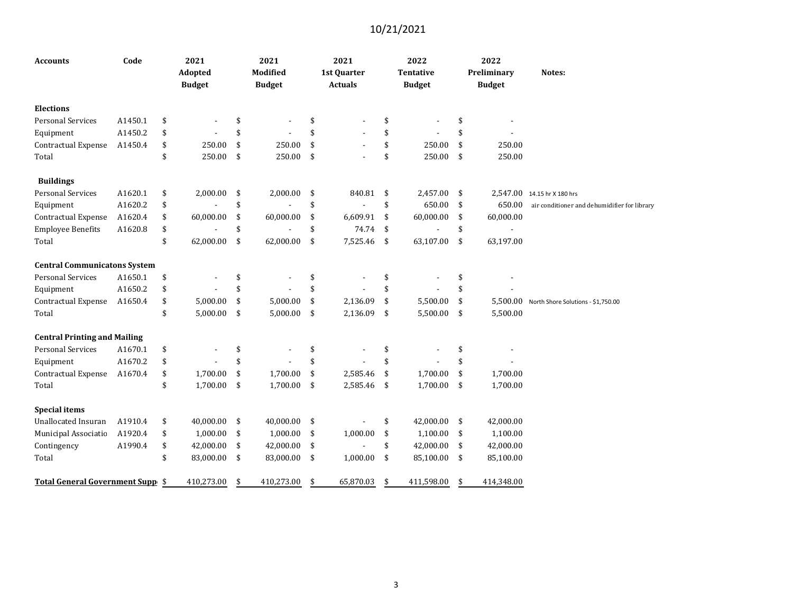| <b>Accounts</b>                     | Code    | 2021<br>Adopted<br><b>Budget</b> |     | 2021<br><b>Modified</b><br><b>Budget</b> | 2021<br>1st Quarter<br><b>Actuals</b> |     | 2022<br><b>Tentative</b><br><b>Budget</b> | 2022<br>Preliminary<br><b>Budget</b> | Notes:                                       |
|-------------------------------------|---------|----------------------------------|-----|------------------------------------------|---------------------------------------|-----|-------------------------------------------|--------------------------------------|----------------------------------------------|
| <b>Elections</b>                    |         |                                  |     |                                          |                                       |     |                                           |                                      |                                              |
| <b>Personal Services</b>            | A1450.1 | \$                               | \$  |                                          | \$                                    | \$  |                                           | \$                                   |                                              |
| Equipment                           | A1450.2 | \$                               | \$  |                                          | \$                                    | \$  |                                           | \$                                   |                                              |
| <b>Contractual Expense</b>          | A1450.4 | \$<br>250.00                     | \$  | 250.00                                   | \$                                    | \$  | 250.00                                    | \$<br>250.00                         |                                              |
| Total                               |         | \$<br>250.00                     | \$  | 250.00                                   | \$                                    | \$  | 250.00                                    | \$<br>250.00                         |                                              |
| <b>Buildings</b>                    |         |                                  |     |                                          |                                       |     |                                           |                                      |                                              |
| <b>Personal Services</b>            | A1620.1 | \$<br>2,000.00                   | -\$ | 2,000.00                                 | \$<br>840.81                          | -\$ | 2,457.00                                  | \$                                   | 2,547.00 14.15 hr X 180 hrs                  |
| Equipment                           | A1620.2 | \$                               | \$  |                                          | \$                                    | \$  | 650.00                                    | \$<br>650.00                         | air conditioner and dehumidifier for library |
| <b>Contractual Expense</b>          | A1620.4 | \$<br>60,000.00                  | \$  | 60,000.00                                | \$<br>6,609.91                        | \$  | 60,000.00                                 | \$<br>60,000.00                      |                                              |
| <b>Employee Benefits</b>            | A1620.8 | \$                               | \$  |                                          | \$<br>74.74                           | \$  |                                           | \$                                   |                                              |
| Total                               |         | \$<br>62,000.00                  | \$  | 62,000.00                                | \$<br>7,525.46                        | \$  | 63,107.00                                 | \$<br>63,197.00                      |                                              |
| <b>Central Communicatons System</b> |         |                                  |     |                                          |                                       |     |                                           |                                      |                                              |
| <b>Personal Services</b>            | A1650.1 | \$                               | \$  |                                          | \$                                    | \$  |                                           | \$                                   |                                              |
| Equipment                           | A1650.2 | \$                               | \$  |                                          | \$                                    | \$  |                                           | \$                                   |                                              |
| Contractual Expense                 | A1650.4 | \$<br>5,000.00                   | \$  | 5,000.00                                 | \$<br>2,136.09                        | \$  | 5,500.00                                  | \$<br>5,500.00                       | North Shore Solutions - \$1,750.00           |
| Total                               |         | \$<br>5,000.00                   | -\$ | 5,000.00                                 | \$<br>2,136.09                        | \$  | 5,500.00                                  | \$<br>5,500.00                       |                                              |
| <b>Central Printing and Mailing</b> |         |                                  |     |                                          |                                       |     |                                           |                                      |                                              |
| <b>Personal Services</b>            | A1670.1 | \$                               | \$  |                                          | \$                                    | \$  |                                           | \$                                   |                                              |
| Equipment                           | A1670.2 | \$                               | \$  |                                          | \$                                    | \$  |                                           | \$                                   |                                              |
| Contractual Expense                 | A1670.4 | \$<br>1,700.00                   | \$  | 1,700.00                                 | \$<br>2,585.46                        | \$  | 1,700.00                                  | \$<br>1,700.00                       |                                              |
| Total                               |         | \$<br>1,700.00                   | -\$ | 1,700.00                                 | \$<br>2,585.46                        | \$  | 1,700.00                                  | \$<br>1,700.00                       |                                              |
| <b>Special items</b>                |         |                                  |     |                                          |                                       |     |                                           |                                      |                                              |
| <b>Unallocated Insuran</b>          | A1910.4 | \$<br>40,000.00                  | \$  | 40,000.00                                | \$                                    | \$  | 42,000.00                                 | \$<br>42,000.00                      |                                              |
| Municipal Associatio                | A1920.4 | \$<br>1,000.00                   | -\$ | 1,000.00                                 | \$<br>1,000.00                        | \$  | 1,100.00                                  | \$<br>1,100.00                       |                                              |
| Contingency                         | A1990.4 | \$<br>42,000.00                  | \$  | 42,000.00                                | \$                                    | \$  | 42,000.00                                 | \$<br>42,000.00                      |                                              |
| Total                               |         | \$<br>83,000.00                  | \$  | 83,000.00                                | \$<br>1,000.00                        | \$  | 85,100.00                                 | \$<br>85,100.00                      |                                              |
| Total General Government Supp \$    |         | 410,273.00                       | \$  | 410,273.00                               | \$<br>65,870.03                       | \$  | 411,598.00                                | \$<br>414,348.00                     |                                              |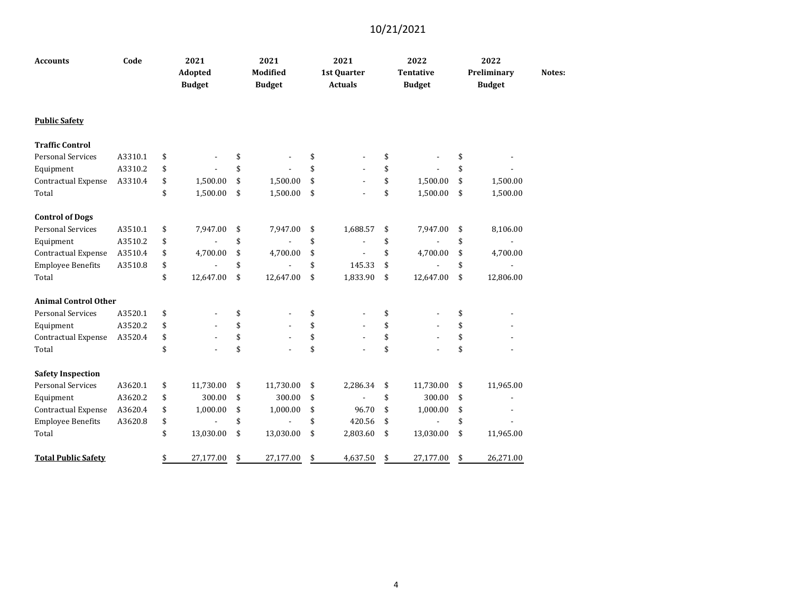| <b>Accounts</b>             | Code    | 2021<br>Adopted<br><b>Budget</b> | 2021<br>Modified<br><b>Budget</b> | 2021<br>1st Quarter<br><b>Actuals</b> | 2022<br><b>Tentative</b><br><b>Budget</b> | 2022<br>Preliminary<br><b>Budget</b> | Notes: |
|-----------------------------|---------|----------------------------------|-----------------------------------|---------------------------------------|-------------------------------------------|--------------------------------------|--------|
| <b>Public Safety</b>        |         |                                  |                                   |                                       |                                           |                                      |        |
| <b>Traffic Control</b>      |         |                                  |                                   |                                       |                                           |                                      |        |
| <b>Personal Services</b>    | A3310.1 | \$                               | \$                                | \$                                    | \$                                        | \$                                   |        |
| Equipment                   | A3310.2 | \$                               | \$                                | \$                                    | \$                                        | \$                                   |        |
| <b>Contractual Expense</b>  | A3310.4 | \$<br>1,500.00                   | \$<br>1,500.00                    | \$                                    | \$<br>1,500.00                            | \$<br>1,500.00                       |        |
| Total                       |         | \$<br>1,500.00                   | \$<br>1,500.00                    | \$                                    | \$<br>1,500.00                            | \$<br>1,500.00                       |        |
| <b>Control of Dogs</b>      |         |                                  |                                   |                                       |                                           |                                      |        |
| <b>Personal Services</b>    | A3510.1 | \$<br>7,947.00                   | \$<br>7,947.00                    | \$<br>1,688.57                        | \$<br>7,947.00                            | \$<br>8,106.00                       |        |
| Equipment                   | A3510.2 | \$                               | \$                                | \$<br>$\overline{a}$                  | \$                                        | \$                                   |        |
| <b>Contractual Expense</b>  | A3510.4 | \$<br>4,700.00                   | \$<br>4,700.00                    | \$                                    | \$<br>4,700.00                            | \$<br>4,700.00                       |        |
| <b>Employee Benefits</b>    | A3510.8 | \$                               | \$                                | \$<br>145.33                          | \$                                        | \$<br>$\blacksquare$                 |        |
| Total                       |         | \$<br>12,647.00                  | \$<br>12,647.00                   | \$<br>1,833.90                        | \$<br>12,647.00                           | \$<br>12,806.00                      |        |
| <b>Animal Control Other</b> |         |                                  |                                   |                                       |                                           |                                      |        |
| Personal Services           | A3520.1 | \$                               | \$                                | \$                                    | \$                                        | \$                                   |        |
| Equipment                   | A3520.2 | \$                               | \$                                | \$                                    | \$                                        | \$                                   |        |
| Contractual Expense         | A3520.4 | \$                               | \$                                | \$                                    | \$                                        | \$                                   |        |
| Total                       |         | \$                               | \$                                | \$                                    | \$                                        | \$                                   |        |
| <b>Safety Inspection</b>    |         |                                  |                                   |                                       |                                           |                                      |        |
| <b>Personal Services</b>    | A3620.1 | \$<br>11,730.00                  | \$<br>11,730.00                   | \$<br>2,286.34                        | \$<br>11,730.00                           | \$<br>11,965.00                      |        |
| Equipment                   | A3620.2 | \$<br>300.00                     | \$<br>300.00                      | \$                                    | \$<br>300.00                              | \$                                   |        |
| Contractual Expense         | A3620.4 | \$<br>1,000.00                   | \$<br>1,000.00                    | \$<br>96.70                           | \$<br>1,000.00                            | \$                                   |        |
| <b>Employee Benefits</b>    | A3620.8 | \$                               | \$                                | \$<br>420.56                          | \$                                        | \$                                   |        |
| Total                       |         | \$<br>13,030.00                  | \$<br>13,030.00                   | \$<br>2,803.60                        | \$<br>13,030.00                           | \$<br>11,965.00                      |        |
| <b>Total Public Safety</b>  |         | \$<br>27,177.00                  | \$<br>27,177.00                   | \$<br>4,637.50                        | \$<br>27,177.00                           | \$<br>26,271.00                      |        |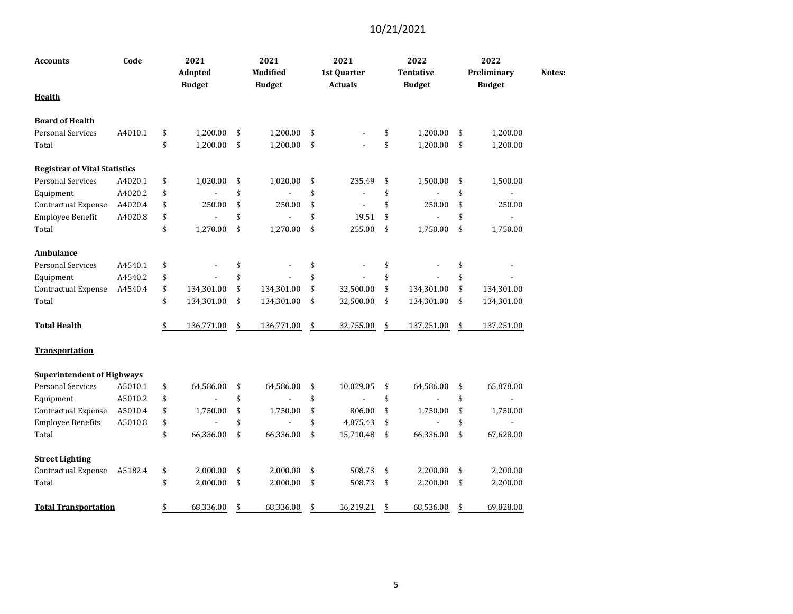| <b>Accounts</b>                      | Code    | 2021<br>Adopted<br><b>Budget</b> | 2021<br><b>Modified</b><br><b>Budget</b> | 2021<br>1st Quarter<br><b>Actuals</b> | 2022<br><b>Tentative</b><br><b>Budget</b> | 2022<br>Preliminary<br><b>Budget</b> | Notes: |
|--------------------------------------|---------|----------------------------------|------------------------------------------|---------------------------------------|-------------------------------------------|--------------------------------------|--------|
| Health                               |         |                                  |                                          |                                       |                                           |                                      |        |
| <b>Board of Health</b>               |         |                                  |                                          |                                       |                                           |                                      |        |
| <b>Personal Services</b>             | A4010.1 | \$<br>1,200.00                   | \$<br>1,200.00                           | \$                                    | \$<br>1,200.00                            | \$<br>1,200.00                       |        |
| Total                                |         | \$<br>1,200.00                   | \$<br>1,200.00                           | \$                                    | \$<br>1,200.00                            | \$<br>1,200.00                       |        |
| <b>Registrar of Vital Statistics</b> |         |                                  |                                          |                                       |                                           |                                      |        |
| <b>Personal Services</b>             | A4020.1 | \$<br>1,020.00                   | \$<br>1,020.00                           | \$<br>235.49                          | \$<br>1,500.00                            | \$<br>1,500.00                       |        |
| Equipment                            | A4020.2 | \$                               | \$                                       | \$<br>$\overline{\phantom{a}}$        | \$                                        | \$                                   |        |
| Contractual Expense                  | A4020.4 | \$<br>250.00                     | \$<br>250.00                             | \$                                    | \$<br>250.00                              | \$<br>250.00                         |        |
| Employee Benefit                     | A4020.8 | \$                               | \$                                       | \$<br>19.51                           | \$                                        | \$                                   |        |
| Total                                |         | \$<br>1,270.00                   | \$<br>1,270.00                           | \$<br>255.00                          | \$<br>1,750.00                            | \$<br>1,750.00                       |        |
| Ambulance                            |         |                                  |                                          |                                       |                                           |                                      |        |
| <b>Personal Services</b>             | A4540.1 | \$                               | \$                                       | \$                                    | \$                                        | \$                                   |        |
| Equipment                            | A4540.2 | \$                               | \$                                       | \$                                    | \$                                        | \$                                   |        |
| Contractual Expense                  | A4540.4 | \$<br>134,301.00                 | \$<br>134,301.00                         | \$<br>32,500.00                       | \$<br>134,301.00                          | \$<br>134,301.00                     |        |
| Total                                |         | \$<br>134,301.00                 | \$<br>134,301.00                         | \$<br>32,500.00                       | \$<br>134,301.00                          | \$<br>134,301.00                     |        |
| <b>Total Health</b>                  |         | \$<br>136,771.00                 | \$<br>136,771.00                         | \$<br>32,755.00                       | \$<br>137,251.00                          | \$<br>137,251.00                     |        |
| <b>Transportation</b>                |         |                                  |                                          |                                       |                                           |                                      |        |
| <b>Superintendent of Highways</b>    |         |                                  |                                          |                                       |                                           |                                      |        |
| <b>Personal Services</b>             | A5010.1 | \$<br>64,586.00                  | \$<br>64,586.00                          | \$<br>10,029.05                       | \$<br>64,586.00                           | \$<br>65,878.00                      |        |
| Equipment                            | A5010.2 | \$                               | \$                                       | \$                                    | \$                                        | \$                                   |        |
| Contractual Expense                  | A5010.4 | \$<br>1,750.00                   | \$<br>1,750.00                           | \$<br>806.00                          | \$<br>1,750.00                            | \$<br>1,750.00                       |        |
| <b>Employee Benefits</b>             | A5010.8 | \$                               | \$                                       | \$<br>4,875.43                        | \$                                        | \$                                   |        |
| Total                                |         | \$<br>66,336.00                  | \$<br>66,336.00                          | \$<br>15,710.48                       | \$<br>66,336.00                           | \$<br>67,628.00                      |        |
| <b>Street Lighting</b>               |         |                                  |                                          |                                       |                                           |                                      |        |
| Contractual Expense                  | A5182.4 | \$<br>2,000.00                   | \$<br>2,000.00                           | \$<br>508.73                          | \$<br>2,200.00                            | \$<br>2,200.00                       |        |
| Total                                |         | \$<br>2,000.00                   | \$<br>2,000.00                           | \$<br>508.73                          | \$<br>2,200.00                            | \$<br>2,200.00                       |        |
| <b>Total Transportation</b>          |         | \$<br>68,336.00                  | \$<br>68,336.00                          | \$<br>16,219.21                       | \$<br>68,536.00                           | \$<br>69,828.00                      |        |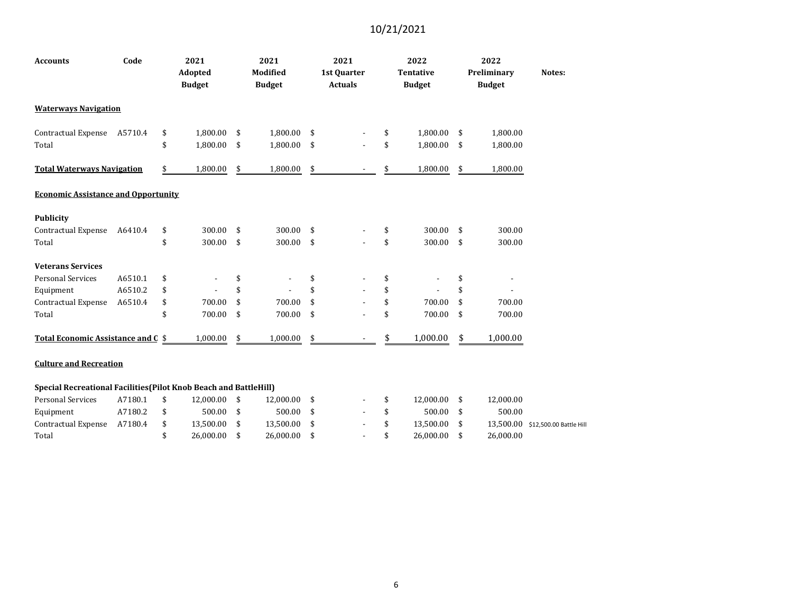| <b>Accounts</b>                                                                                                                                      | Code    | 2021<br>Adopted<br><b>Budget</b> | 2021<br><b>Modified</b><br><b>Budget</b> | 2021<br>1st Quarter<br><b>Actuals</b> |    | 2022<br><b>Tentative</b><br><b>Budget</b> | 2022<br>Preliminary<br><b>Budget</b> | Notes: |
|------------------------------------------------------------------------------------------------------------------------------------------------------|---------|----------------------------------|------------------------------------------|---------------------------------------|----|-------------------------------------------|--------------------------------------|--------|
| <b>Waterways Navigation</b>                                                                                                                          |         |                                  |                                          |                                       |    |                                           |                                      |        |
| Contractual Expense                                                                                                                                  | A5710.4 | \$<br>1,800.00                   | \$<br>1,800.00                           | \$                                    | \$ | 1,800.00                                  | \$<br>1,800.00                       |        |
| Total                                                                                                                                                |         | \$<br>1,800.00                   | \$<br>1,800.00                           | \$                                    | \$ | 1,800.00                                  | \$<br>1,800.00                       |        |
| <b>Total Waterways Navigation</b>                                                                                                                    |         | \$<br>1,800.00                   | \$<br>1,800.00                           | \$                                    | \$ | 1,800.00                                  | \$<br>1,800.00                       |        |
| <b>Economic Assistance and Opportunity</b>                                                                                                           |         |                                  |                                          |                                       |    |                                           |                                      |        |
| <b>Publicity</b>                                                                                                                                     |         |                                  |                                          |                                       |    |                                           |                                      |        |
| Contractual Expense                                                                                                                                  | A6410.4 | \$<br>300.00 \$                  | 300.00                                   | \$                                    | \$ | 300.00                                    | \$<br>300.00                         |        |
| Total                                                                                                                                                |         | \$<br>300.00                     | \$<br>300.00                             | \$<br>$\overline{\phantom{a}}$        | \$ | 300.00                                    | \$<br>300.00                         |        |
| <b>Veterans Services</b>                                                                                                                             |         |                                  |                                          |                                       |    |                                           |                                      |        |
| <b>Personal Services</b>                                                                                                                             | A6510.1 | \$                               | \$                                       | \$                                    | \$ | $\overline{\phantom{a}}$                  | \$                                   |        |
| Equipment                                                                                                                                            | A6510.2 | \$                               | \$                                       | \$                                    | \$ |                                           | \$                                   |        |
| Contractual Expense                                                                                                                                  | A6510.4 | \$<br>700.00                     | \$<br>700.00                             | \$                                    | \$ | 700.00                                    | \$<br>700.00                         |        |
| Total                                                                                                                                                |         | \$<br>700.00                     | \$<br>700.00                             | \$                                    | \$ | 700.00                                    | \$<br>700.00                         |        |
| Total Economic Assistance and C \$                                                                                                                   |         | 1,000.00                         | \$<br>1,000.00                           | \$                                    | \$ | 1,000.00                                  | \$<br>1,000.00                       |        |
| <b>Culture and Recreation</b>                                                                                                                        |         |                                  |                                          |                                       |    |                                           |                                      |        |
| Special Recreational Facilities (Pilot Knob Beach and BattleHill)                                                                                    |         |                                  |                                          |                                       |    |                                           |                                      |        |
| $\frac{1}{2}$ Dersenal Corvices $\frac{1}{2}$ 1200 $\frac{1}{2}$ $\frac{1}{2}$ $\frac{1}{2}$ 000 00 $\frac{1}{2}$ $\frac{1}{2}$ 000 00 $\frac{1}{2}$ |         |                                  |                                          |                                       | ¢  | 12.000.00 \$                              | 12.000.00                            |        |

| Personal Services   | A7180.1 | s s | $12,000.00$ \$ | 12.000.00 \$ |  |  | 12.000.00 \$ | 12.000.00 |                                   |
|---------------------|---------|-----|----------------|--------------|--|--|--------------|-----------|-----------------------------------|
| Equipment           | A7180.2 |     | 500.00 \$      | 500.00 \$    |  |  | 500.00 \$    | 500.00    |                                   |
| Contractual Expense | A7180.4 |     | 13.500.00 \$   | 13.500.00 \$ |  |  | 13.500.00 \$ |           | 13,500.00 \$12,500.00 Battle Hill |
| Total               |         |     | 26.000.00 \$   | 26.000.00 \$ |  |  | 26.000.00    | 26.000.00 |                                   |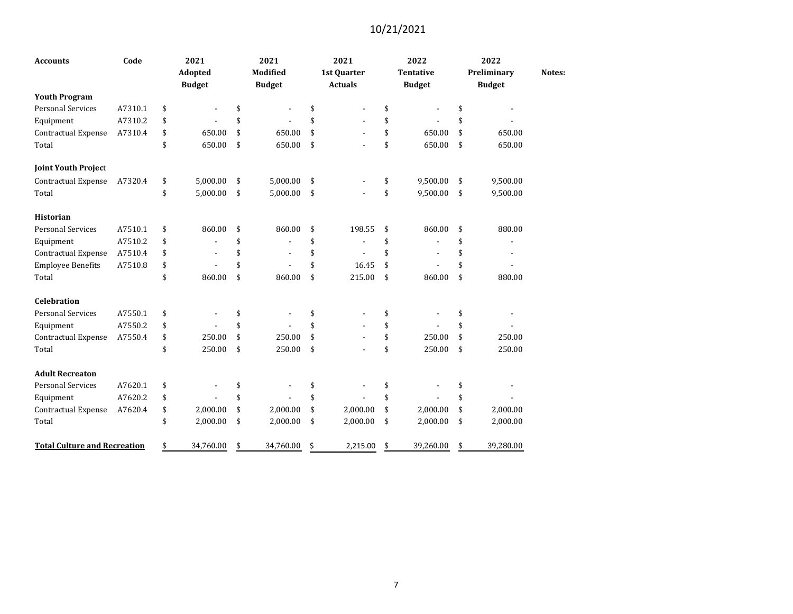| <b>Accounts</b>                     | Code    | 2021            | 2021            | 2021           | 2022                 | 2022            |        |
|-------------------------------------|---------|-----------------|-----------------|----------------|----------------------|-----------------|--------|
|                                     |         | Adopted         | <b>Modified</b> | 1st Quarter    | <b>Tentative</b>     | Preliminary     | Notes: |
|                                     |         | <b>Budget</b>   | <b>Budget</b>   | <b>Actuals</b> | <b>Budget</b>        | <b>Budget</b>   |        |
| <b>Youth Program</b>                |         |                 |                 |                |                      |                 |        |
| <b>Personal Services</b>            | A7310.1 | \$              | \$              | \$             | \$                   | \$              |        |
| Equipment                           | A7310.2 | \$              | \$              | \$             | \$                   | \$              |        |
| <b>Contractual Expense</b>          | A7310.4 | \$<br>650.00    | \$<br>650.00    | \$             | \$<br>650.00         | \$<br>650.00    |        |
| Total                               |         | \$<br>650.00    | \$<br>650.00    | \$             | \$<br>650.00         | \$<br>650.00    |        |
| <b>Joint Youth Project</b>          |         |                 |                 |                |                      |                 |        |
| Contractual Expense                 | A7320.4 | \$<br>5,000.00  | \$<br>5,000.00  | \$             | \$<br>9,500.00       | \$<br>9,500.00  |        |
| Total                               |         | \$<br>5,000.00  | \$<br>5,000.00  | \$             | \$<br>9,500.00       | \$<br>9,500.00  |        |
| <b>Historian</b>                    |         |                 |                 |                |                      |                 |        |
| <b>Personal Services</b>            | A7510.1 | \$<br>860.00    | \$<br>860.00    | \$<br>198.55   | \$<br>860.00         | \$<br>880.00    |        |
| Equipment                           | A7510.2 | \$              | \$              | \$             | \$<br>$\blacksquare$ | \$              |        |
| Contractual Expense                 | A7510.4 | \$              | \$              | \$             | \$                   | \$              |        |
| <b>Employee Benefits</b>            | A7510.8 | \$              | \$              | \$<br>16.45    | \$                   | \$              |        |
| Total                               |         | \$<br>860.00    | \$<br>860.00    | \$<br>215.00   | \$<br>860.00         | \$<br>880.00    |        |
| <b>Celebration</b>                  |         |                 |                 |                |                      |                 |        |
| <b>Personal Services</b>            | A7550.1 | \$              | \$              | \$             | \$                   | \$              |        |
| Equipment                           | A7550.2 | \$              | \$              | \$             | \$                   | \$              |        |
| Contractual Expense                 | A7550.4 | \$<br>250.00    | \$<br>250.00    | \$             | \$<br>250.00         | \$<br>250.00    |        |
| Total                               |         | \$<br>250.00    | \$<br>250.00    | \$             | \$<br>250.00         | \$<br>250.00    |        |
| <b>Adult Recreaton</b>              |         |                 |                 |                |                      |                 |        |
| <b>Personal Services</b>            | A7620.1 | \$              | \$              | \$             | \$                   | \$              |        |
| Equipment                           | A7620.2 | \$              | \$              | \$             | \$                   | \$              |        |
| Contractual Expense                 | A7620.4 | \$<br>2,000.00  | \$<br>2,000.00  | \$<br>2,000.00 | \$<br>2,000.00       | \$<br>2,000.00  |        |
| Total                               |         | \$<br>2,000.00  | \$<br>2,000.00  | \$<br>2,000.00 | \$<br>2,000.00       | \$<br>2,000.00  |        |
| <b>Total Culture and Recreation</b> |         | \$<br>34,760.00 | \$<br>34,760.00 | \$<br>2,215.00 | \$<br>39,260.00      | \$<br>39,280.00 |        |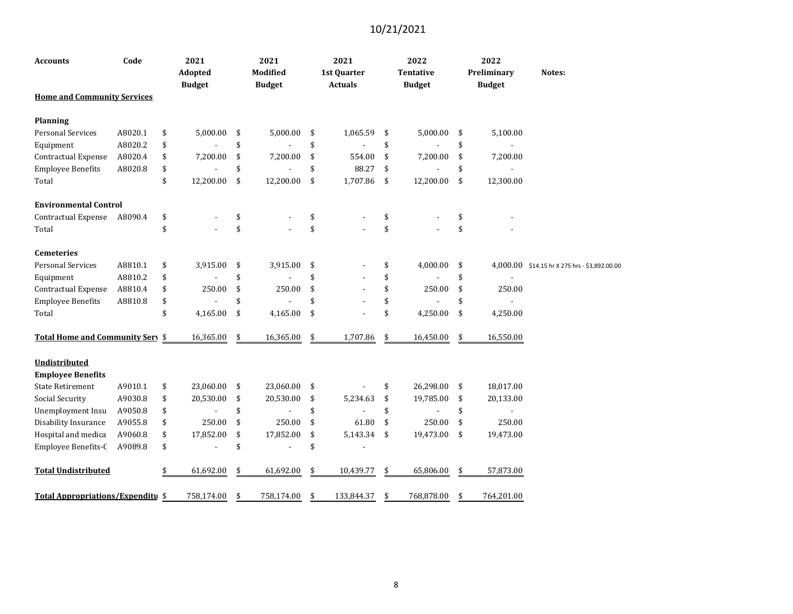| Accounts                                         | Code    | 2021<br>Adopted<br><b>Budget</b> | 2021<br><b>Modified</b><br><b>Budget</b> | 2021<br>1st Quarter<br><b>Actuals</b> | 2022<br><b>Tentative</b><br><b>Budget</b> | 2022<br>Preliminary<br><b>Budget</b> | Notes:                                        |
|--------------------------------------------------|---------|----------------------------------|------------------------------------------|---------------------------------------|-------------------------------------------|--------------------------------------|-----------------------------------------------|
| <b>Home and Community Services</b>               |         |                                  |                                          |                                       |                                           |                                      |                                               |
| Planning                                         |         |                                  |                                          |                                       |                                           |                                      |                                               |
| <b>Personal Services</b>                         | A8020.1 | \$<br>5,000.00                   | \$<br>5,000.00                           | \$<br>1,065.59                        | \$<br>5,000.00                            | \$<br>5,100.00                       |                                               |
| Equipment                                        | A8020.2 | \$                               | \$                                       | \$                                    | \$                                        | \$                                   |                                               |
| <b>Contractual Expense</b>                       | A8020.4 | \$<br>7,200.00                   | \$<br>7,200.00                           | \$<br>554.00                          | \$<br>7,200.00                            | \$<br>7,200.00                       |                                               |
| <b>Employee Benefits</b>                         | A8020.8 | \$                               | \$                                       | \$<br>88.27                           | \$                                        | \$                                   |                                               |
| Total                                            |         | \$<br>12,200.00                  | \$<br>12,200.00                          | \$<br>1,707.86                        | \$<br>12,200.00                           | \$<br>12,300.00                      |                                               |
| <b>Environmental Control</b>                     |         |                                  |                                          |                                       |                                           |                                      |                                               |
| Contractual Expense                              | A8090.4 | \$                               | \$                                       | \$                                    | \$                                        | \$                                   |                                               |
| Total                                            |         | \$                               | \$                                       | \$                                    | \$                                        | \$                                   |                                               |
| <b>Cemeteries</b>                                |         |                                  |                                          |                                       |                                           |                                      |                                               |
| <b>Personal Services</b>                         | A8810.1 | \$<br>3,915.00                   | \$<br>3,915.00                           | \$                                    | \$<br>4,000.00                            | \$                                   | 4,000.00 \$14.15 hr X 275 hrs - \$3,892.00.00 |
| Equipment                                        | A8810.2 | \$                               | \$                                       | \$                                    | \$                                        | \$                                   |                                               |
| Contractual Expense                              | A8810.4 | \$<br>250.00                     | \$<br>250.00                             | \$                                    | \$<br>250.00                              | \$<br>250.00                         |                                               |
| <b>Employee Benefits</b>                         | A8810.8 | \$                               | \$                                       | \$                                    | \$                                        | \$                                   |                                               |
| Total                                            |         | \$<br>4,165.00                   | \$<br>4,165.00                           | \$                                    | \$<br>4,250.00                            | \$<br>4,250.00                       |                                               |
| Total Home and Community Sery \$                 |         | 16,365.00                        | \$<br>16,365.00                          | \$<br>1,707.86                        | \$<br>16,450.00                           | \$<br>16,550.00                      |                                               |
| <b>Undistributed</b><br><b>Employee Benefits</b> |         |                                  |                                          |                                       |                                           |                                      |                                               |
| <b>State Retirement</b>                          | A9010.1 | \$<br>23,060.00                  | \$<br>23,060.00                          | \$                                    | \$<br>26,298.00                           | \$<br>18,017.00                      |                                               |
| Social Security                                  | A9030.8 | \$<br>20,530.00                  | \$<br>20,530.00                          | \$<br>5,234.63                        | \$<br>19,785.00                           | \$<br>20,133.00                      |                                               |
| Unemployment Insu                                | A9050.8 | \$                               | \$                                       | \$                                    | \$                                        | \$<br>$\overline{\phantom{a}}$       |                                               |
| Disability Insurance                             | A9055.8 | \$<br>250.00                     | \$<br>250.00                             | \$<br>61.80                           | \$<br>250.00                              | \$<br>250.00                         |                                               |
| Hospital and medica                              | A9060.8 | \$<br>17,852.00                  | \$<br>17,852.00                          | \$<br>5,143.34                        | \$<br>19,473.00                           | \$<br>19,473.00                      |                                               |
| Employee Benefits-C                              | A9089.8 | \$                               | \$                                       | \$<br>$\overline{\phantom{a}}$        |                                           |                                      |                                               |
| <b>Total Undistributed</b>                       |         | \$<br>61,692.00                  | \$<br>61,692.00                          | \$<br>10,439.77                       | \$<br>65,806.00                           | \$<br>57,873.00                      |                                               |
| <b>Total Appropriations/Expenditu \$</b>         |         | 758,174.00                       | \$<br>758,174.00                         | \$<br>133,844.37                      | \$<br>768,878.00                          | \$<br>764,201.00                     |                                               |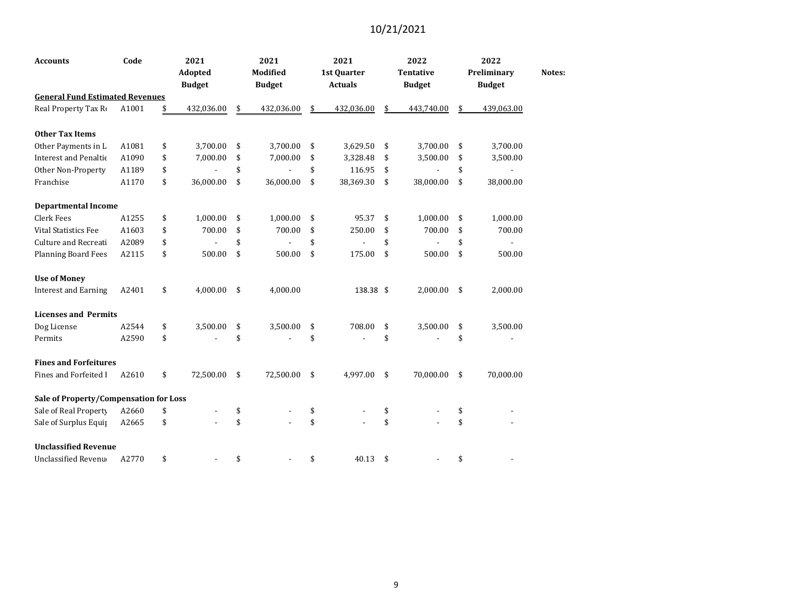| <b>Accounts</b>                        | Code  | 2021             | 2021             | 2021             | 2022             | 2022             |        |
|----------------------------------------|-------|------------------|------------------|------------------|------------------|------------------|--------|
|                                        |       | Adopted          | Modified         | 1st Quarter      | <b>Tentative</b> | Preliminary      | Notes: |
|                                        |       | <b>Budget</b>    | <b>Budget</b>    | <b>Actuals</b>   | <b>Budget</b>    | <b>Budget</b>    |        |
| <b>General Fund Estimated Revenues</b> |       |                  |                  |                  |                  |                  |        |
| Real Property Tax Ro                   | A1001 | \$<br>432,036.00 | \$<br>432,036.00 | \$<br>432,036.00 | \$<br>443,740.00 | \$<br>439,063.00 |        |
| <b>Other Tax Items</b>                 |       |                  |                  |                  |                  |                  |        |
| Other Payments in L                    | A1081 | \$<br>3,700.00   | \$<br>3,700.00   | \$<br>3,629.50   | \$<br>3,700.00   | \$<br>3,700.00   |        |
| <b>Interest and Penaltic</b>           | A1090 | \$<br>7,000.00   | \$<br>7,000.00   | \$<br>3,328.48   | \$<br>3,500.00   | \$<br>3,500.00   |        |
| Other Non-Property                     | A1189 | \$               | \$               | \$<br>116.95     | \$               | \$               |        |
| Franchise                              | A1170 | \$<br>36,000.00  | \$<br>36,000.00  | \$<br>38,369.30  | \$<br>38,000.00  | \$<br>38,000.00  |        |
| <b>Departmental Income</b>             |       |                  |                  |                  |                  |                  |        |
| Clerk Fees                             | A1255 | \$<br>1,000.00   | \$<br>1,000.00   | \$<br>95.37      | \$<br>1,000.00   | \$<br>1,000.00   |        |
| <b>Vital Statistics Fee</b>            | A1603 | \$<br>700.00     | \$<br>700.00     | \$<br>250.00     | \$<br>700.00     | \$<br>700.00     |        |
| <b>Culture and Recreati</b>            | A2089 | \$               | \$               | \$               | \$               | \$               |        |
| <b>Planning Board Fees</b>             | A2115 | \$<br>500.00     | \$<br>500.00     | \$<br>175.00     | \$<br>500.00     | \$<br>500.00     |        |
| <b>Use of Money</b>                    |       |                  |                  |                  |                  |                  |        |
| <b>Interest and Earning</b>            | A2401 | \$<br>4,000.00   | \$<br>4,000.00   | 138.38 \$        | 2,000.00         | \$<br>2,000.00   |        |
| <b>Licenses and Permits</b>            |       |                  |                  |                  |                  |                  |        |
| Dog License                            | A2544 | \$<br>3,500.00   | \$<br>3,500.00   | \$<br>708.00     | \$<br>3,500.00   | \$<br>3,500.00   |        |
| Permits                                | A2590 | \$               | \$               | \$               | \$               | \$               |        |
| <b>Fines and Forfeitures</b>           |       |                  |                  |                  |                  |                  |        |
| Fines and Forfeited I                  | A2610 | \$<br>72,500.00  | \$<br>72,500.00  | \$<br>4,997.00   | \$<br>70,000.00  | \$<br>70,000.00  |        |
| Sale of Property/Compensation for Loss |       |                  |                  |                  |                  |                  |        |
| Sale of Real Property                  | A2660 | \$               | \$               | \$               | \$               | \$               |        |
| Sale of Surplus Equip                  | A2665 | \$               | \$               | \$               | \$               | \$               |        |
| <b>Unclassified Revenue</b>            |       |                  |                  |                  |                  |                  |        |
| Unclassified Revenu                    | A2770 | \$               | \$               | \$<br>40.13      | \$               | \$               |        |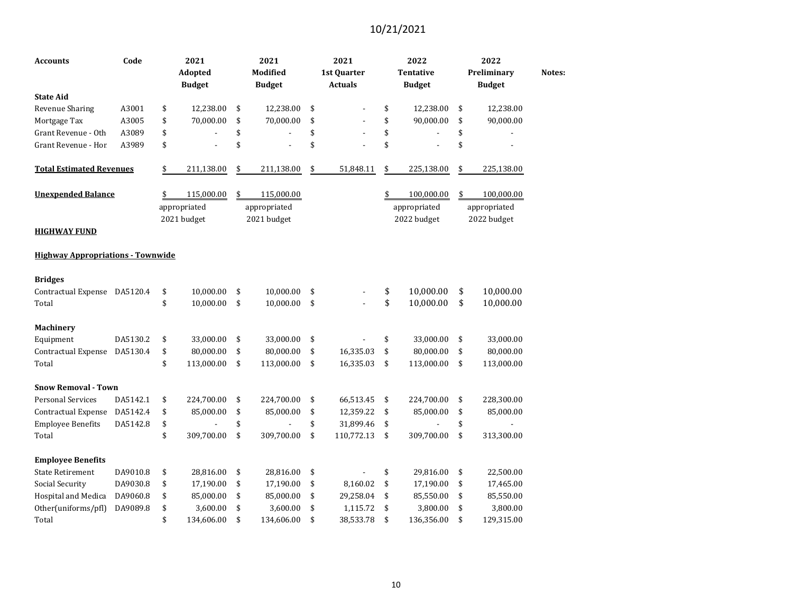| <b>Accounts</b>                          | Code     | 2021<br>Adopted<br><b>Budget</b> | 2021<br>Modified<br><b>Budget</b> | 2021<br>1st Quarter<br><b>Actuals</b> | 2022<br><b>Tentative</b><br><b>Budget</b> | 2022<br>Preliminary<br><b>Budget</b> | Notes: |
|------------------------------------------|----------|----------------------------------|-----------------------------------|---------------------------------------|-------------------------------------------|--------------------------------------|--------|
| <b>State Aid</b>                         |          |                                  |                                   |                                       |                                           |                                      |        |
| <b>Revenue Sharing</b>                   | A3001    | \$<br>12,238.00                  | \$<br>12,238.00                   | \$<br>÷,                              | \$<br>12,238.00                           | \$<br>12,238.00                      |        |
| Mortgage Tax                             | A3005    | \$<br>70,000.00                  | \$<br>70,000.00                   | \$                                    | \$<br>90,000.00                           | \$<br>90,000.00                      |        |
| Grant Revenue - Oth                      | A3089    | \$                               | \$                                | \$                                    | \$                                        | \$                                   |        |
| Grant Revenue - Hor                      | A3989    | \$                               | \$                                | \$                                    | \$                                        | \$                                   |        |
| <b>Total Estimated Revenues</b>          |          | \$<br>211,138.00                 | \$<br>211,138.00                  | \$<br>51,848.11                       | \$<br>225,138.00                          | \$<br>225,138.00                     |        |
| <b>Unexpended Balance</b>                |          | \$<br>115,000.00                 | \$<br>115,000.00                  |                                       | \$<br>100,000.00                          | \$<br>100,000.00                     |        |
|                                          |          | appropriated                     | appropriated                      |                                       | appropriated                              | appropriated                         |        |
|                                          |          | 2021 budget                      | 2021 budget                       |                                       | 2022 budget                               | 2022 budget                          |        |
| <b>HIGHWAY FUND</b>                      |          |                                  |                                   |                                       |                                           |                                      |        |
| <b>Highway Appropriations - Townwide</b> |          |                                  |                                   |                                       |                                           |                                      |        |
| <b>Bridges</b>                           |          |                                  |                                   |                                       |                                           |                                      |        |
| Contractual Expense DA5120.4             |          | \$<br>10,000.00                  | \$<br>10,000.00                   | \$                                    | \$<br>10,000.00                           | \$<br>10,000.00                      |        |
| Total                                    |          | \$<br>10,000.00                  | \$<br>10,000.00                   | \$                                    | \$<br>10,000.00                           | \$<br>10,000.00                      |        |
| <b>Machinery</b>                         |          |                                  |                                   |                                       |                                           |                                      |        |
| Equipment                                | DA5130.2 | \$<br>33,000.00                  | \$<br>33,000.00                   | \$                                    | \$<br>33,000.00                           | \$<br>33,000.00                      |        |
| Contractual Expense                      | DA5130.4 | \$<br>80,000.00                  | \$<br>80,000.00                   | \$<br>16,335.03                       | \$<br>80,000.00                           | \$<br>80,000.00                      |        |
| Total                                    |          | \$<br>113,000.00                 | \$<br>113,000.00                  | \$<br>16,335.03                       | \$<br>113,000.00                          | \$<br>113,000.00                     |        |
| <b>Snow Removal - Town</b>               |          |                                  |                                   |                                       |                                           |                                      |        |
| <b>Personal Services</b>                 | DA5142.1 | \$<br>224,700.00                 | \$<br>224,700.00                  | \$<br>66,513.45                       | \$<br>224,700.00                          | \$<br>228,300.00                     |        |
| Contractual Expense                      | DA5142.4 | \$<br>85,000.00                  | \$<br>85,000.00                   | \$<br>12,359.22                       | \$<br>85,000.00                           | \$<br>85,000.00                      |        |
| <b>Employee Benefits</b>                 | DA5142.8 | \$                               | \$                                | \$<br>31,899.46                       | \$                                        | \$                                   |        |
| Total                                    |          | \$<br>309,700.00                 | \$<br>309,700.00                  | \$<br>110,772.13                      | \$<br>309,700.00                          | \$<br>313,300.00                     |        |
| <b>Employee Benefits</b>                 |          |                                  |                                   |                                       |                                           |                                      |        |
| <b>State Retirement</b>                  | DA9010.8 | \$<br>28,816.00                  | \$<br>28,816.00                   | \$                                    | \$<br>29,816.00                           | \$<br>22,500.00                      |        |
| Social Security                          | DA9030.8 | \$<br>17,190.00                  | \$<br>17,190.00                   | \$<br>8,160.02                        | \$<br>17,190.00                           | \$<br>17,465.00                      |        |
| Hospital and Medica                      | DA9060.8 | \$<br>85,000.00                  | \$<br>85,000.00                   | \$<br>29,258.04                       | \$<br>85,550.00                           | \$<br>85,550.00                      |        |
| Other(uniforms/pfl)                      | DA9089.8 | \$<br>3,600.00                   | \$<br>3,600.00                    | \$<br>1,115.72                        | \$<br>3,800.00                            | \$<br>3,800.00                       |        |
| Total                                    |          | \$<br>134,606.00                 | \$<br>134,606.00                  | \$<br>38,533.78                       | \$<br>136,356.00                          | \$<br>129,315.00                     |        |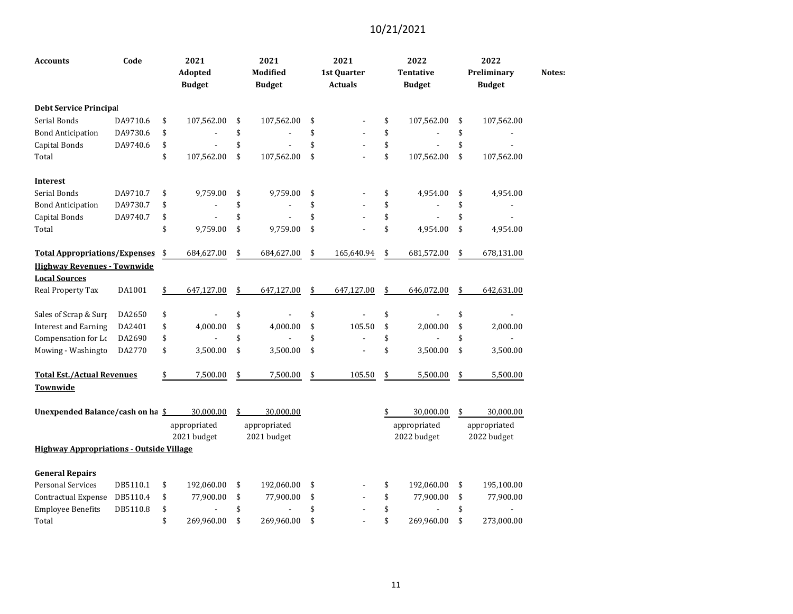| <b>Accounts</b>                                 | Code     | 2021<br>Adopted<br><b>Budget</b> | 2021<br>Modified<br><b>Budget</b> | 2021<br>1st Quarter<br><b>Actuals</b> | 2022<br><b>Tentative</b><br><b>Budget</b> | 2022<br>Preliminary<br><b>Budget</b> | Notes: |
|-------------------------------------------------|----------|----------------------------------|-----------------------------------|---------------------------------------|-------------------------------------------|--------------------------------------|--------|
| <b>Debt Service Principal</b>                   |          |                                  |                                   |                                       |                                           |                                      |        |
| Serial Bonds                                    | DA9710.6 | \$<br>107,562.00                 | \$<br>107,562.00                  | \$                                    | \$<br>107,562.00                          | \$<br>107,562.00                     |        |
| <b>Bond Anticipation</b>                        | DA9730.6 | \$                               | \$                                | \$                                    | \$                                        | \$                                   |        |
| Capital Bonds                                   | DA9740.6 | \$                               | \$                                | \$                                    | \$                                        | \$                                   |        |
| Total                                           |          | \$<br>107,562.00                 | \$<br>107,562.00                  | \$                                    | \$<br>107,562.00                          | \$<br>107,562.00                     |        |
| <b>Interest</b>                                 |          |                                  |                                   |                                       |                                           |                                      |        |
| Serial Bonds                                    | DA9710.7 | \$<br>9,759.00                   | \$<br>9,759.00                    | \$                                    | \$<br>4,954.00                            | \$<br>4,954.00                       |        |
| <b>Bond Anticipation</b>                        | DA9730.7 | \$                               | \$                                | \$                                    | \$                                        | \$                                   |        |
| Capital Bonds                                   | DA9740.7 | \$                               | \$                                | \$                                    | \$                                        | \$                                   |        |
| Total                                           |          | \$<br>9,759.00                   | \$<br>9,759.00                    | \$                                    | \$<br>4,954.00                            | \$<br>4,954.00                       |        |
| <b>Total Appropriations/Expenses</b>            |          | \$<br>684,627.00                 | \$<br>684,627.00                  | \$<br>165,640.94                      | \$<br>681,572.00                          | \$<br>678,131.00                     |        |
| <b>Highway Revenues - Townwide</b>              |          |                                  |                                   |                                       |                                           |                                      |        |
| <b>Local Sources</b>                            |          |                                  |                                   |                                       |                                           |                                      |        |
| Real Property Tax                               | DA1001   | \$<br>647,127.00                 | \$<br>647,127.00                  | \$<br>647,127.00                      | \$<br>646,072.00                          | \$<br>642,631.00                     |        |
| Sales of Scrap & Surp                           | DA2650   | \$                               | \$                                | \$<br>$\overline{a}$                  | \$                                        | \$                                   |        |
| <b>Interest and Earning</b>                     | DA2401   | \$<br>4,000.00                   | \$<br>4,000.00                    | \$<br>105.50                          | \$<br>2,000.00                            | \$<br>2,000.00                       |        |
| Compensation for Lo                             | DA2690   | \$                               | \$                                | \$                                    | \$                                        | \$                                   |        |
| Mowing - Washingto                              | DA2770   | \$<br>3,500.00                   | \$<br>3,500.00                    | \$                                    | \$<br>3,500.00                            | \$<br>3,500.00                       |        |
| <b>Total Est./Actual Revenues</b>               |          | \$<br>7,500.00                   | \$<br>7,500.00                    | \$<br>105.50                          | \$<br>5,500.00                            | \$<br>5,500.00                       |        |
| Townwide                                        |          |                                  |                                   |                                       |                                           |                                      |        |
| Unexpended Balance/cash on ha \$                |          | 30,000.00                        | \$<br>30,000.00                   |                                       | \$<br>30,000.00                           | \$<br>30,000.00                      |        |
|                                                 |          | appropriated                     | appropriated                      |                                       | appropriated                              | appropriated                         |        |
|                                                 |          | 2021 budget                      | 2021 budget                       |                                       | 2022 budget                               | 2022 budget                          |        |
| <b>Highway Appropriations - Outside Village</b> |          |                                  |                                   |                                       |                                           |                                      |        |
| <b>General Repairs</b>                          |          |                                  |                                   |                                       |                                           |                                      |        |
| <b>Personal Services</b>                        | DB5110.1 | \$<br>192,060.00                 | \$<br>192,060.00                  | \$                                    | \$<br>192,060.00                          | \$<br>195,100.00                     |        |
| Contractual Expense                             | DB5110.4 | \$<br>77,900.00                  | \$<br>77,900.00                   | \$                                    | \$<br>77,900.00                           | \$<br>77,900.00                      |        |
| <b>Employee Benefits</b>                        | DB5110.8 | \$                               | \$                                | \$                                    | \$                                        | \$                                   |        |
| Total                                           |          | \$<br>269,960.00                 | \$<br>269,960.00                  | \$                                    | \$<br>269,960.00                          | \$<br>273,000.00                     |        |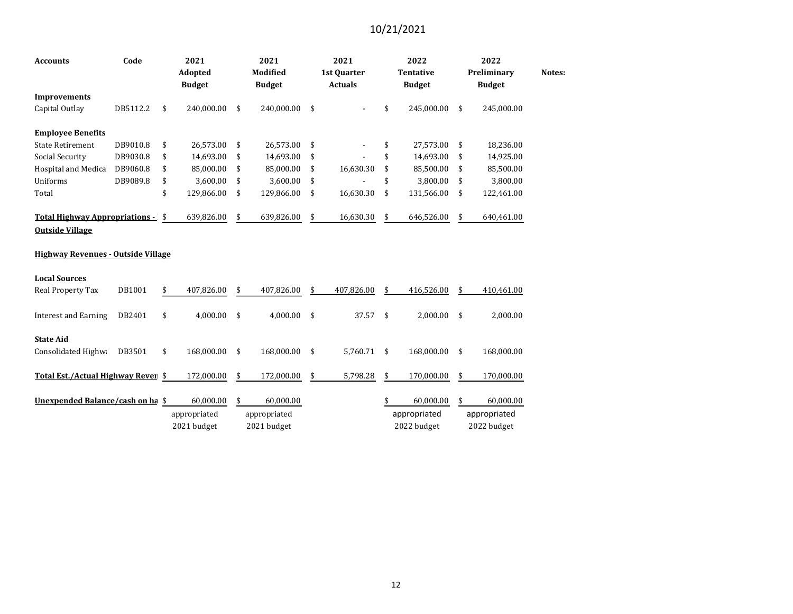| Code<br><b>Accounts</b>                                     |          | 2021<br>Adopted<br><b>Budget</b> |              | 2021<br><b>Modified</b><br><b>Budget</b> | 2021<br>1st Quarter<br><b>Actuals</b> |            |                    | 2022<br><b>Tentative</b><br><b>Budget</b> | 2022<br>Preliminary<br><b>Budget</b> | Notes: |
|-------------------------------------------------------------|----------|----------------------------------|--------------|------------------------------------------|---------------------------------------|------------|--------------------|-------------------------------------------|--------------------------------------|--------|
| <b>Improvements</b>                                         |          |                                  |              |                                          |                                       |            |                    |                                           |                                      |        |
| Capital Outlay                                              | DB5112.2 | \$                               | 240,000.00   | \$<br>240,000.00                         | \$                                    |            | \$                 | 245,000.00                                | \$<br>245,000.00                     |        |
| <b>Employee Benefits</b>                                    |          |                                  |              |                                          |                                       |            |                    |                                           |                                      |        |
| <b>State Retirement</b>                                     | DB9010.8 | \$                               | 26,573.00    | \$<br>26,573.00                          | \$                                    |            | \$                 | 27,573.00                                 | \$<br>18,236.00                      |        |
| <b>Social Security</b>                                      | DB9030.8 | \$                               | 14,693.00    | \$<br>14,693.00                          | \$                                    |            | \$                 | 14,693.00                                 | \$<br>14,925.00                      |        |
| Hospital and Medica                                         | DB9060.8 | \$                               | 85,000.00    | \$<br>85,000.00                          | \$                                    | 16,630.30  | \$                 | 85,500.00                                 | \$<br>85,500.00                      |        |
| Uniforms                                                    | DB9089.8 | \$                               | 3,600.00     | \$<br>3,600.00                           | \$                                    |            | \$                 | 3,800.00                                  | \$<br>3,800.00                       |        |
| Total                                                       |          | \$                               | 129,866.00   | \$<br>129,866.00                         | \$                                    | 16,630.30  | \$                 | 131,566.00                                | \$<br>122,461.00                     |        |
| Total Highway Appropriations - \$<br><b>Outside Village</b> |          |                                  | 639,826.00   | \$<br>639,826.00                         | \$                                    | 16,630.30  | \$                 | 646,526.00                                | \$<br>640,461.00                     |        |
| <b>Highway Revenues - Outside Village</b>                   |          |                                  |              |                                          |                                       |            |                    |                                           |                                      |        |
| <b>Local Sources</b>                                        |          |                                  |              |                                          |                                       |            |                    |                                           |                                      |        |
| Real Property Tax                                           | DB1001   | \$                               | 407,826.00   | \$<br>407,826.00                         | \$                                    | 407,826.00 | \$                 | 416,526.00                                | \$<br>410,461.00                     |        |
| <b>Interest and Earning</b>                                 | DB2401   | \$                               | 4,000.00     | \$<br>4,000.00                           | \$                                    | 37.57      | \$                 | 2,000.00                                  | \$<br>2,000.00                       |        |
| <b>State Aid</b>                                            |          |                                  |              |                                          |                                       |            |                    |                                           |                                      |        |
| Consolidated Highwa                                         | DB3501   | \$                               | 168,000.00   | \$<br>168,000.00                         | \$                                    | 5,760.71   | $\mathbf{\hat{S}}$ | 168,000.00                                | \$<br>168,000.00                     |        |
| Total Est./Actual Highway Rever \$                          |          |                                  | 172,000.00   | \$<br>172,000.00                         | \$                                    | 5,798.28   | \$                 | 170,000.00                                | \$<br>170,000.00                     |        |
| Unexpended Balance/cash on ha \$                            |          |                                  | 60,000.00    | \$<br>60,000.00                          |                                       |            | \$                 | 60,000.00                                 | \$<br>60,000.00                      |        |
|                                                             |          |                                  | appropriated | appropriated                             |                                       |            |                    | appropriated                              | appropriated                         |        |
|                                                             |          |                                  | 2021 budget  | 2021 budget                              |                                       |            |                    | 2022 budget                               | 2022 budget                          |        |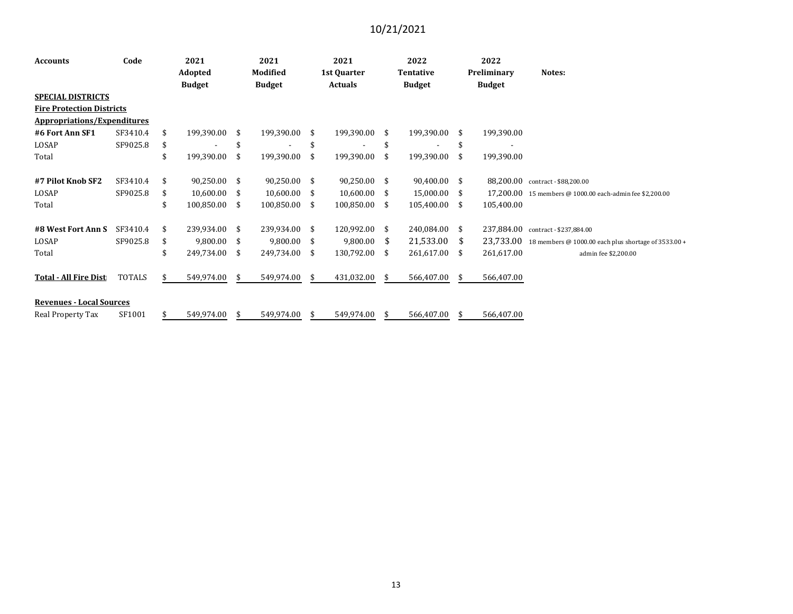| <b>Accounts</b>                    | Code          |    | 2021          |      | 2021          | 2021        |                |     | 2022          |     | 2022          |                                                          |  |  |
|------------------------------------|---------------|----|---------------|------|---------------|-------------|----------------|-----|---------------|-----|---------------|----------------------------------------------------------|--|--|
|                                    |               |    | Adopted       |      | Modified      | 1st Quarter |                |     | Tentative     |     | Preliminary   | Notes:                                                   |  |  |
|                                    |               |    | <b>Budget</b> |      | <b>Budget</b> |             | <b>Actuals</b> |     | <b>Budget</b> |     | <b>Budget</b> |                                                          |  |  |
| <b>SPECIAL DISTRICTS</b>           |               |    |               |      |               |             |                |     |               |     |               |                                                          |  |  |
| <b>Fire Protection Districts</b>   |               |    |               |      |               |             |                |     |               |     |               |                                                          |  |  |
| <b>Appropriations/Expenditures</b> |               |    |               |      |               |             |                |     |               |     |               |                                                          |  |  |
| #6 Fort Ann SF1                    | SF3410.4      | \$ | 199,390.00    | -\$  | 199,390.00    | \$          | 199,390.00     | \$. | 199,390.00    | \$. | 199,390.00    |                                                          |  |  |
| LOSAP                              | SF9025.8      | \$ |               | \$   |               | \$          |                | \$  |               | S   |               |                                                          |  |  |
| Total                              |               |    | 199,390.00    | \$   | 199,390.00    | \$          | 199,390.00     | \$  | 199,390.00    | S.  | 199,390.00    |                                                          |  |  |
| #7 Pilot Knob SF2                  | SF3410.4      | \$ | 90,250.00     | - \$ | 90,250.00 \$  |             | 90,250.00      | -\$ | 90,400.00 \$  |     | 88,200.00     | contract - \$88.200.00                                   |  |  |
| LOSAP                              | SF9025.8      | \$ | 10,600.00     | -\$  | 10,600.00     | \$.         | 10,600.00      | \$. | 15,000.00     | \$. |               | 17,200.00 15 members @ 1000.00 each-admin fee \$2,200.00 |  |  |
| Total                              |               | \$ | 100,850.00    | \$   | 100,850.00    | \$          | 100,850.00     | \$  | 105,400.00    | \$. | 105,400.00    |                                                          |  |  |
| #8 West Fort Ann S                 | SF3410.4      |    | 239,934.00    | -\$  | 239,934.00    | \$.         | 120,992.00     | \$  | 240,084.00    | \$  | 237,884.00    | contract - \$237,884.00                                  |  |  |
| LOSAP                              | SF9025.8      | \$ | 9,800.00      | -\$  | 9,800.00      | \$          | 9,800.00       | -S  | 21,533.00     | -S  | 23,733.00     | 18 members @ 1000.00 each plus shortage of 3533.00 +     |  |  |
| Total                              |               | \$ | 249,734.00    | \$   | 249,734.00    | \$          | 130,792.00     | \$  | 261,617.00    | \$  | 261,617.00    | admin fee \$2,200.00                                     |  |  |
| <b>Total - All Fire Dist</b>       | <b>TOTALS</b> | \$ | 549,974.00    | -S   | 549,974.00    | \$          | 431,032.00     | \$  | 566,407.00    | S.  | 566,407.00    |                                                          |  |  |
| <b>Revenues - Local Sources</b>    |               |    |               |      |               |             |                |     |               |     |               |                                                          |  |  |
| Real Property Tax                  | SF1001        | S  | 549,974.00    | -\$  | 549,974.00    | \$          | 549,974.00     | \$  | 566,407.00    | \$. | 566,407.00    |                                                          |  |  |